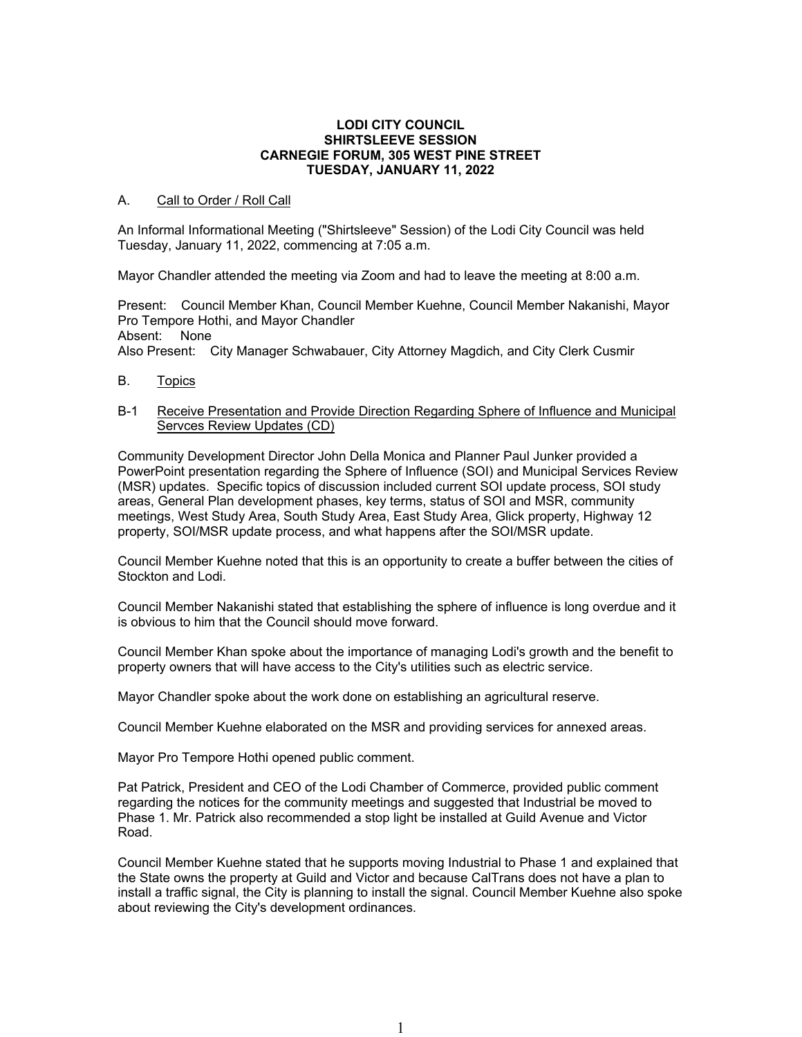#### **LODI CITY COUNCIL SHIRTSLEEVE SESSION CARNEGIE FORUM, 305 WEST PINE STREET TUESDAY, JANUARY 11, 2022**

# A. Call to Order / Roll Call

An Informal Informational Meeting ("Shirtsleeve" Session) of the Lodi City Council was held Tuesday, January 11, 2022, commencing at 7:05 a.m.

Mayor Chandler attended the meeting via Zoom and had to leave the meeting at 8:00 a.m.

Present: Council Member Khan, Council Member Kuehne, Council Member Nakanishi, Mayor Pro Tempore Hothi, and Mayor Chandler Absent: None Also Present: City Manager Schwabauer, City Attorney Magdich, and City Clerk Cusmir

B. Topics

# B-1 Receive Presentation and Provide Direction Regarding Sphere of Influence and Municipal Servces Review Updates (CD)

Community Development Director John Della Monica and Planner Paul Junker provided a PowerPoint presentation regarding the Sphere of Influence (SOI) and Municipal Services Review (MSR) updates. Specific topics of discussion included current SOI update process, SOI study areas, General Plan development phases, key terms, status of SOI and MSR, community meetings, West Study Area, South Study Area, East Study Area, Glick property, Highway 12 property, SOI/MSR update process, and what happens after the SOI/MSR update.

Council Member Kuehne noted that this is an opportunity to create a buffer between the cities of Stockton and Lodi.

Council Member Nakanishi stated that establishing the sphere of influence is long overdue and it is obvious to him that the Council should move forward.

Council Member Khan spoke about the importance of managing Lodi's growth and the benefit to property owners that will have access to the City's utilities such as electric service.

Mayor Chandler spoke about the work done on establishing an agricultural reserve.

Council Member Kuehne elaborated on the MSR and providing services for annexed areas.

Mayor Pro Tempore Hothi opened public comment.

Pat Patrick, President and CEO of the Lodi Chamber of Commerce, provided public comment regarding the notices for the community meetings and suggested that Industrial be moved to Phase 1. Mr. Patrick also recommended a stop light be installed at Guild Avenue and Victor Road.

Council Member Kuehne stated that he supports moving Industrial to Phase 1 and explained that the State owns the property at Guild and Victor and because CalTrans does not have a plan to install a traffic signal, the City is planning to install the signal. Council Member Kuehne also spoke about reviewing the City's development ordinances.